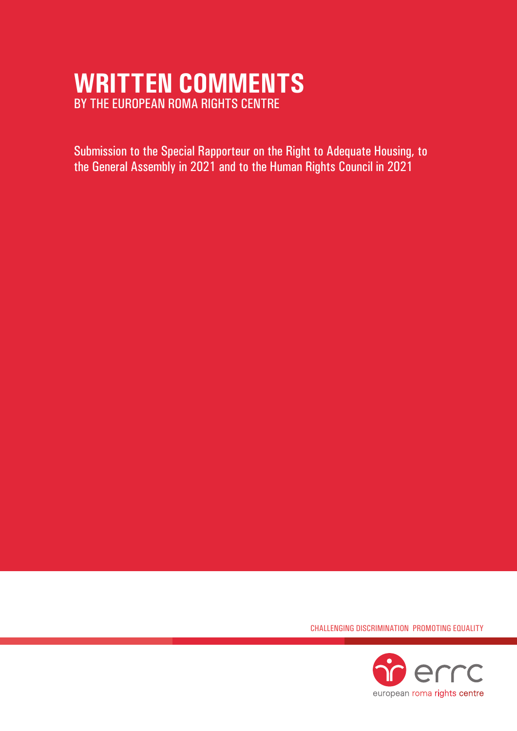# **WRITTEN COMMENTS**  BY THE EUROPEAN ROMA RIGHTS CENTRE

Submission to the Special Rapporteur on the Right to Adequate Housing, to the General Assembly in 2021 and to the Human Rights Council in 2021

CHALLENGING DISCRIMINATION PROMOTING EQUALITY

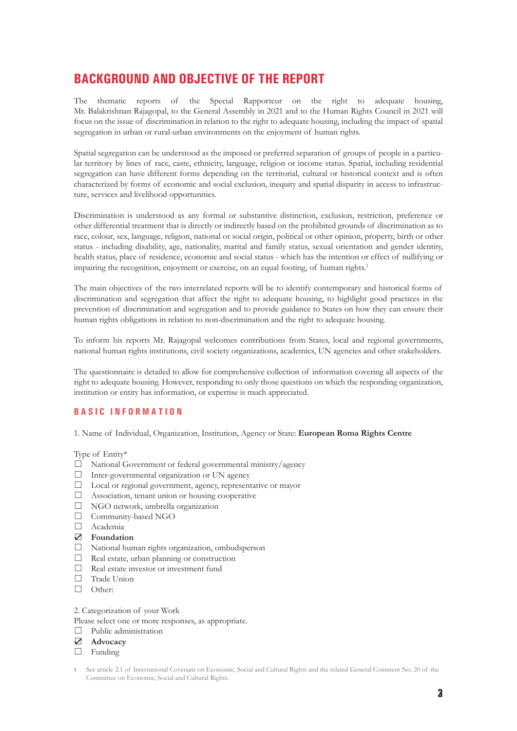# **BACKGROUND AND OBJECTIVE OF THE REPORT**

The thematic reports of the Special Rapporteur on the right to adequate housing, Mr. Balakrishnan Rajagopal, to the General Assembly in 2021 and to the Human Rights Council in 2021 will focus on the issue of discrimination in relation to the right to adequate housing, including the impact of spatial segregation in urban or rural-urban environments on the enjoyment of human rights.

Spatial segregation can be understood as the imposed or preferred separation of groups of people in a particular territory by lines of race, caste, ethnicity, language, religion or income status. Spatial, including residential segregation can have different forms depending on the territorial, cultural or historical context and is often characterized by forms of economic and social exclusion, inequity and spatial disparity in access to infrastructure, services and livelihood opportunities.

Discrimination is understood as any formal or substantive distinction, exclusion, restriction, preference or other differential treatment that is directly or indirectly based on the prohibited grounds of discrimination as to race, colour, sex, language, religion, national or social origin, political or other opinion, property, birth or other status - including disability, age, nationality, marital and family status, sexual orientation and gender identity, health status, place of residence, economic and social status - which has the intention or effect of nullifying or impairing the recognition, enjoyment or exercise, on an equal footing, of human rights.<sup>1</sup>

The main objectives of the two interrelated reports will be to identify contemporary and historical forms of discrimination and segregation that affect the right to adequate housing, to highlight good practices in the prevention of discrimination and segregation and to provide guidance to States on how they can ensure their human rights obligations in relation to non-discrimination and the right to adequate housing.

To inform his reports Mr. Rajagopal welcomes contributions from States, local and regional governments, national human rights institutions, civil society organizations, academics, UN agencies and other stakeholders.

The questionnaire is detailed to allow for comprehensive collection of information covering all aspects of the right to adequate housing. However, responding to only those questions on which the responding organization, institution or entity has information, or expertise is much appreciated.

# **BASIC INFORMATION**

1. Name of Individual, Organization, Institution, Agency or State: **European Roma Rights Centre**

Type of Entity\*

- ☐ National Government or federal governmental ministry/agency
- $\Box$  Inter-governmental organization or UN agency
- ☐ Local or regional government, agency, representative or mayor
- ☐ Association, tenant union or housing cooperative
- ☐ NGO network, umbrella organization
- □ Community-based NGO
- ☐ Academia
- ☑ **Foundation**
- ☐ National human rights organization, ombudsperson
- ☐ Real estate, urban planning or construction
- $□$  Real estate investor or investment fund
- □ Trade Union
- ☐ Other:
- 2. Categorization of your Work
- Please select one or more responses, as appropriate.
- □ Public administration
- ☑ **Advocacy**
- □ Funding

**<sup>1</sup>** See article 2.1 of International Covenant on Economic, Social and Cultural Rights and the related General Comment No. 20 of the Committee on Economic, Social and Cultural Rights.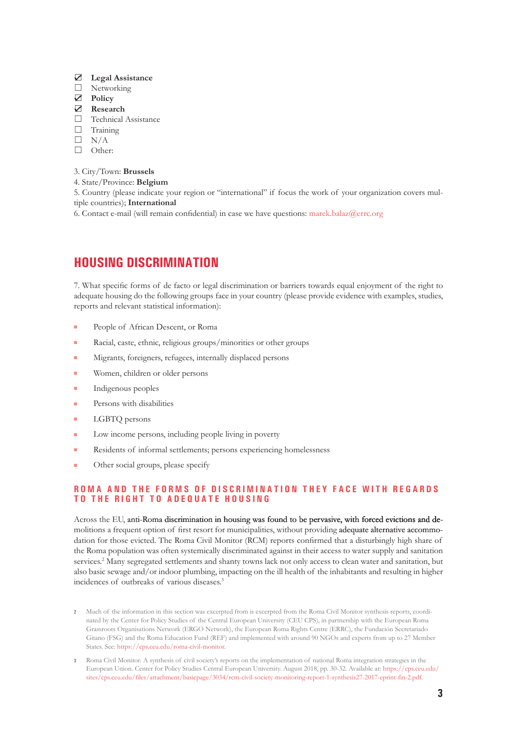#### ☑ **Legal Assistance**

- □ Networking
- ☑ **Policy**

#### ☑ **Research**

- □ Technical Assistance
- □ Training
- $\Box$  N/A
- □ Other:

#### 3. City/Town: **Brussels**

- 4. State/Province: **Belgium**
- 5. Country (please indicate your region or "international" if focus the work of your organization covers multiple countries); **International**
- 6. Contact e-mail (will remain confidential) in case we have questions: <marek.balaz@errc.org>

# **HOUSING DISCRIMINATION**

7. What specific forms of de facto or legal discrimination or barriers towards equal enjoyment of the right to adequate housing do the following groups face in your country (please provide evidence with examples, studies, reports and relevant statistical information):

- People of African Descent, or Roma
- Racial, caste, ethnic, religious groups/minorities or other groups
- Migrants, foreigners, refugees, internally displaced persons
- Women, children or older persons
- Indigenous peoples
- Persons with disabilities
- LGBTQ persons
- Low income persons, including people living in poverty
- Residents of informal settlements; persons experiencing homelessness
- **DERIVAL BR** Other social groups, please specify

# **ROMA AND THE FORMS OF DISCRIMINATION THEY FACE WITH REGARDS TO THE RIGHT TO ADEQUATE HOUSING**

Across the EU, anti-Roma discrimination in housing was found to be pervasive, with forced evictions and demolitions a frequent option of first resort for municipalities, without providing adequate alternative accommodation for those evicted. The Roma Civil Monitor (RCM) reports confirmed that a disturbingly high share of the Roma population was often systemically discriminated against in their access to water supply and sanitation services.<sup>2</sup> Many segregated settlements and shanty towns lack not only access to clean water and sanitation, but also basic sewage and/or indoor plumbing, impacting on the ill health of the inhabitants and resulting in higher incidences of outbreaks of various diseases.3

- **2** Much of the information in this section was excerpted from is excerpted from the Roma Civil Monitor synthesis reports, coordinated by the Center for Policy Studies of the Central European University (CEU CPS), in partnership with the European Roma Grassroots Organisations Network (ERGO Network), the European Roma Rights Centre (ERRC), the Fundación Secretariado Gitano (FSG) and the Roma Education Fund (REF) and implemented with around 90 NGOs and experts from up to 27 Member States. See: <https://cps.ceu.edu/roma-civil-monitor>.
- **3** Roma Civil Monitor. A synthesis of civil society's reports on the implementation of national Roma integration strategies in the European Union. Center for Policy Studies Central European University. August 2018, pp. 30-32. Available at: [https://cps.ceu.edu/](https://cps.ceu.edu/sites/cps.ceu.edu/files/attachment/basicpage/3034/rcm-civil-society-monitoring-report-1-synthesis27-2017-eprint-fin-2.pdf) [sites/cps.ceu.edu/files/attachment/basicpage/3034/rcm-civil-society-monitoring-report-1-synthesis27-2017-eprint-fin-2.pdf](https://cps.ceu.edu/sites/cps.ceu.edu/files/attachment/basicpage/3034/rcm-civil-society-monitoring-report-1-synthesis27-2017-eprint-fin-2.pdf).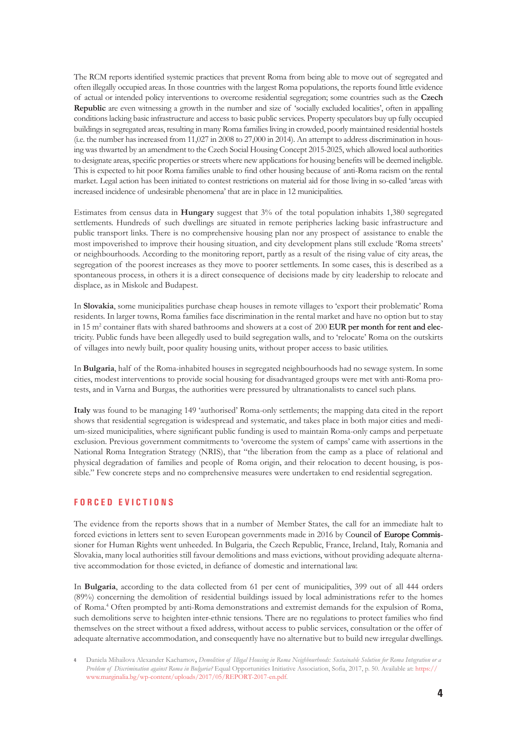The RCM reports identified systemic practices that prevent Roma from being able to move out of segregated and often illegally occupied areas. In those countries with the largest Roma populations, the reports found little evidence of actual or intended policy interventions to overcome residential segregation; some countries such as the **Czech Republic** are even witnessing a growth in the number and size of 'socially excluded localities', often in appalling conditions lacking basic infrastructure and access to basic public services. Property speculators buy up fully occupied buildings in segregated areas, resulting in many Roma families living in crowded, poorly maintained residential hostels (i.e. the number has increased from 11,027 in 2008 to 27,000 in 2014). An attempt to address discrimination in housing was thwarted by an amendment to the Czech Social Housing Concept 2015-2025, which allowed local authorities to designate areas, specific properties or streets where new applications for housing benefits will be deemed ineligible. This is expected to hit poor Roma families unable to find other housing because of anti-Roma racism on the rental market. Legal action has been initiated to contest restrictions on material aid for those living in so-called 'areas with increased incidence of undesirable phenomena' that are in place in 12 municipalities.

Estimates from census data in **Hungary** suggest that 3% of the total population inhabits 1,380 segregated settlements. Hundreds of such dwellings are situated in remote peripheries lacking basic infrastructure and public transport links. There is no comprehensive housing plan nor any prospect of assistance to enable the most impoverished to improve their housing situation, and city development plans still exclude 'Roma streets' or neighbourhoods. According to the monitoring report, partly as a result of the rising value of city areas, the segregation of the poorest increases as they move to poorer settlements. In some cases, this is described as a spontaneous process, in others it is a direct consequence of decisions made by city leadership to relocate and displace, as in Miskolc and Budapest.

In **Slovakia**, some municipalities purchase cheap houses in remote villages to 'export their problematic' Roma residents. In larger towns, Roma families face discrimination in the rental market and have no option but to stay in 15 m<sup>2</sup> container flats with shared bathrooms and showers at a cost of 200 EUR per month for rent and electricity. Public funds have been allegedly used to build segregation walls, and to 'relocate' Roma on the outskirts of villages into newly built, poor quality housing units, without proper access to basic utilities.

In **Bulgaria**, half of the Roma-inhabited houses in segregated neighbourhoods had no sewage system. In some cities, modest interventions to provide social housing for disadvantaged groups were met with anti-Roma protests, and in Varna and Burgas, the authorities were pressured by ultranationalists to cancel such plans.

**Italy** was found to be managing 149 'authorised' Roma-only settlements; the mapping data cited in the report shows that residential segregation is widespread and systematic, and takes place in both major cities and medium-sized municipalities, where significant public funding is used to maintain Roma-only camps and perpetuate exclusion. Previous government commitments to 'overcome the system of camps' came with assertions in the National Roma Integration Strategy (NRIS), that "the liberation from the camp as a place of relational and physical degradation of families and people of Roma origin, and their relocation to decent housing, is possible." Few concrete steps and no comprehensive measures were undertaken to end residential segregation.

# **F O R C E D E V I C T I O N S**

The evidence from the reports shows that in a number of Member States, the call for an immediate halt to forced evictions in letters sent to seven European governments made in 2016 by Council of Europe Commissioner for Human Rights went unheeded. In Bulgaria, the Czech Republic, France, Ireland, Italy, Romania and Slovakia, many local authorities still favour demolitions and mass evictions, without providing adequate alternative accommodation for those evicted, in defiance of domestic and international law.

In **Bulgaria**, according to the data collected from 61 per cent of municipalities, 399 out of all 444 orders (89%) concerning the demolition of residential buildings issued by local administrations refer to the homes of Roma.4 Often prompted by anti-Roma demonstrations and extremist demands for the expulsion of Roma, such demolitions serve to heighten inter-ethnic tensions. There are no regulations to protect families who find themselves on the street without a fixed address, without access to public services, consultation or the offer of adequate alternative accommodation, and consequently have no alternative but to build new irregular dwellings.

**<sup>4</sup>** Daniela Mihailova Alexander Kachamov**,** *Demolition of Illegal Housing in Roma Neighbourhoods: Sustainable Solution for Roma Integration or a Problem of Discrimination against Roma in Bulgaria?* Equal Opportunities Initiative Association, Sofia, 2017, p. 50. Available at: [https://](https://www.marginalia.bg/wp-content/uploads/2017/05/REPORT-2017-en.pdf) [www.marginalia.bg/wp-content/uploads/2017/05/REPORT-2017-en.pdf.](https://www.marginalia.bg/wp-content/uploads/2017/05/REPORT-2017-en.pdf)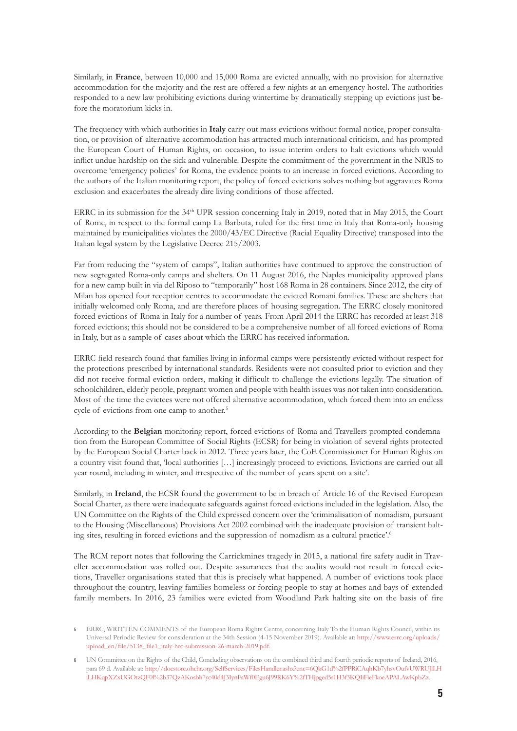Similarly, in **France**, between 10,000 and 15,000 Roma are evicted annually, with no provision for alternative accommodation for the majority and the rest are offered a few nights at an emergency hostel. The authorities responded to a new law prohibiting evictions during wintertime by dramatically stepping up evictions just before the moratorium kicks in.

The frequency with which authorities in **Italy** carry out mass evictions without formal notice, proper consultation, or provision of alternative accommodation has attracted much international criticism, and has prompted the European Court of Human Rights, on occasion, to issue interim orders to halt evictions which would inflict undue hardship on the sick and vulnerable. Despite the commitment of the government in the NRIS to overcome 'emergency policies' for Roma, the evidence points to an increase in forced evictions. According to the authors of the Italian monitoring report, the policy of forced evictions solves nothing but aggravates Roma exclusion and exacerbates the already dire living conditions of those affected.

ERRC in its submission for the 34<sup>th</sup> UPR session concerning Italy in 2019, noted that in May 2015, the Court of Rome, in respect to the formal camp La Barbuta, ruled for the first time in Italy that Roma-only housing maintained by municipalities violates the 2000/43/EC Directive (Racial Equality Directive) transposed into the Italian legal system by the Legislative Decree 215/2003.

Far from reducing the "system of camps", Italian authorities have continued to approve the construction of new segregated Roma-only camps and shelters. On 11 August 2016, the Naples municipality approved plans for a new camp built in via del Riposo to "temporarily" host 168 Roma in 28 containers. Since 2012, the city of Milan has opened four reception centres to accommodate the evicted Romani families. These are shelters that initially welcomed only Roma, and are therefore places of housing segregation. The ERRC closely monitored forced evictions of Roma in Italy for a number of years. From April 2014 the ERRC has recorded at least 318 forced evictions; this should not be considered to be a comprehensive number of all forced evictions of Roma in Italy, but as a sample of cases about which the ERRC has received information.

ERRC field research found that families living in informal camps were persistently evicted without respect for the protections prescribed by international standards. Residents were not consulted prior to eviction and they did not receive formal eviction orders, making it difficult to challenge the evictions legally. The situation of schoolchildren, elderly people, pregnant women and people with health issues was not taken into consideration. Most of the time the evictees were not offered alternative accommodation, which forced them into an endless cycle of evictions from one camp to another.<sup>5</sup>

According to the **Belgian** monitoring report, forced evictions of Roma and Travellers prompted condemnation from the European Committee of Social Rights (ECSR) for being in violation of several rights protected by the European Social Charter back in 2012. Three years later, the CoE Commissioner for Human Rights on a country visit found that, 'local authorities […] increasingly proceed to evictions. Evictions are carried out all year round, including in winter, and irrespective of the number of years spent on a site'.

Similarly, in **Ireland**, the ECSR found the government to be in breach of Article 16 of the Revised European Social Charter, as there were inadequate safeguards against forced evictions included in the legislation. Also, the UN Committee on the Rights of the Child expressed concern over the 'criminalisation of nomadism, pursuant to the Housing (Miscellaneous) Provisions Act 2002 combined with the inadequate provision of transient halting sites, resulting in forced evictions and the suppression of nomadism as a cultural practice'.<sup>6</sup>

The RCM report notes that following the Carrickmines tragedy in 2015, a national fire safety audit in Traveller accommodation was rolled out. Despite assurances that the audits would not result in forced evictions, Traveller organisations stated that this is precisely what happened. A number of evictions took place throughout the country, leaving families homeless or forcing people to stay at homes and bays of extended family members. In 2016, 23 families were evicted from Woodland Park halting site on the basis of fire

**<sup>5</sup>** ERRC, WRITTEN COMMENTS of the European Roma Rights Centre, concerning Italy To the Human Rights Council, within its Universal Periodic Review for consideration at the 34th Session (4-15 November 2019). Available at: [http://www.errc.org/uploads/](http://www.errc.org/uploads/upload_en/file/5138_file1_italy-hrc-submission-26-march-2019.pdf) [upload\\_en/file/5138\\_file1\\_italy-hrc-submission-26-march-2019.pdf.](http://www.errc.org/uploads/upload_en/file/5138_file1_italy-hrc-submission-26-march-2019.pdf)

**<sup>6</sup>** UN Committee on the Rights of the Child, Concluding observations on the combined third and fourth periodic reports of Ireland, 2016, para 69 d. Available at: [http://docstore.ohchr.org/SelfServices/FilesHandler.ashx?enc=6QkG1d%2fPPRiCAqhKb7yhsvOufvUWRUJlLH](http://docstore.ohchr.org/SelfServices/FilesHandler.ashx?enc=6QkG1d%2fPPRiCAqhKb7yhsvOufvUWRUJlLHiLHKqpXZxUGOtzQF0l%2b37QzAKosbh7yc40d4J3IynFaWf0Egu6J99RK6Y%2fTHjpged5r1H3f3KQIiFieFkoeAPALAwKpbZz) [iLHKqpXZxUGOtzQF0l%2b37QzAKosbh7yc40d4J3IynFaWf0Egu6J99RK6Y%2fTHjpged5r1H3f3KQIiFieFkoeAPALAwKpbZz.](http://docstore.ohchr.org/SelfServices/FilesHandler.ashx?enc=6QkG1d%2fPPRiCAqhKb7yhsvOufvUWRUJlLHiLHKqpXZxUGOtzQF0l%2b37QzAKosbh7yc40d4J3IynFaWf0Egu6J99RK6Y%2fTHjpged5r1H3f3KQIiFieFkoeAPALAwKpbZz)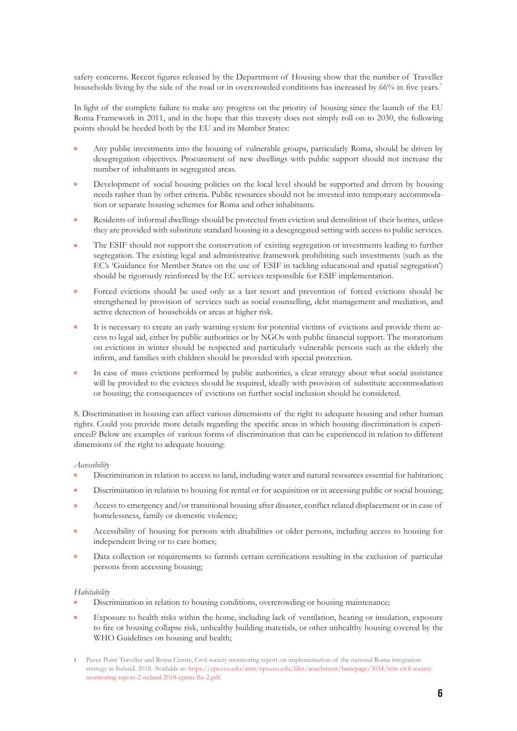safety concerns. Recent figures released by the Department of Housing show that the number of Traveller households living by the side of the road or in overcrowded conditions has increased by 66% in five years.<sup>7</sup>

In light of the complete failure to make any progress on the priority of housing since the launch of the EU Roma Framework in 2011, and in the hope that this travesty does not simply roll on to 2030, the following points should be heeded both by the EU and its Member States:

- Any public investments into the housing of vulnerable groups, particularly Roma, should be driven by desegregation objectives. Procurement of new dwellings with public support should not increase the number of inhabitants in segregated areas.
- Development of social housing policies on the local level should be supported and driven by housing needs rather than by other criteria. Public resources should not be invested into temporary accommodation or separate housing schemes for Roma and other inhabitants.
- Residents of informal dwellings should be protected from eviction and demolition of their homes, unless they are provided with substitute standard housing in a desegregated setting with access to public services.
- The ESIF should not support the conservation of existing segregation or investments leading to further segregation. The existing legal and administrative framework prohibiting such investments (such as the EC's 'Guidance for Member States on the use of ESIF in tackling educational and spatial segregation') should be rigorously reinforced by the EC services responsible for ESIF implementation.
- Forced evictions should be used only as a last resort and prevention of forced evictions should be strengthened by provision of services such as social counselling, debt management and mediation, and active detection of households or areas at higher risk.
- It is necessary to create an early warning system for potential victims of evictions and provide them access to legal aid, either by public authorities or by NGOs with public financial support. The moratorium on evictions in winter should be respected and particularly vulnerable persons such as the elderly the infirm, and families with children should be provided with special protection.
- In case of mass evictions performed by public authorities, a clear strategy about what social assistance will be provided to the evictees should be required, ideally with provision of substitute accommodation or housing; the consequences of evictions on further social inclusion should be considered.

8. Discrimination in housing can affect various dimensions of the right to adequate housing and other human rights. Could you provide more details regarding the specific areas in which housing discrimination is experienced? Below are examples of various forms of discrimination that can be experienced in relation to different dimensions of the right to adequate housing:

#### *Accessibility*

- Discrimination in relation to access to land, including water and natural resources essential for habitation;
- Discrimination in relation to housing for rental or for acquisition or in accessing public or social housing;
- Access to emergency and/or transitional housing after disaster, conflict related displacement or in case of homelessness, family or domestic violence;
- Accessibility of housing for persons with disabilities or older persons, including access to housing for independent living or to care homes;
- Data collection or requirements to furnish certain certifications resulting in the exclusion of particular persons from accessing housing;

#### *Habitability*

- Discrimination in relation to housing conditions, overcrowding or housing maintenance;
- Exposure to health risks within the home, including lack of ventilation, heating or insulation, exposure to fire or housing collapse risk, unhealthy building materials, or other unhealthy housing covered by the WHO Guidelines on housing and health;
- **7** Pavee Point Traveller and Roma Centre, Civil society monitoring report on implementation of the national Roma integration strategy in Ireland. 2018. Available at: [https://cps.ceu.edu/sites/cps.ceu.edu/files/attachment/basicpage/3034/rcm-civil-society](https://cps.ceu.edu/sites/cps.ceu.edu/files/attachment/basicpage/3034/rcm-civil-society-monitoring-report-2-ireland-2018-eprint-fin-2.pdf)[monitoring-report-2-ireland-2018-eprint-fin-2.pdf.](https://cps.ceu.edu/sites/cps.ceu.edu/files/attachment/basicpage/3034/rcm-civil-society-monitoring-report-2-ireland-2018-eprint-fin-2.pdf)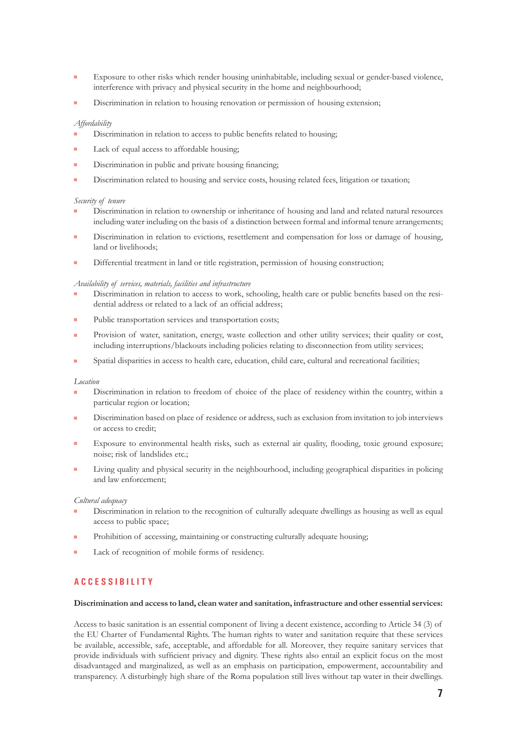- **Exposure to other risks which render housing uninhabitable, including sexual or gender-based violence,** interference with privacy and physical security in the home and neighbourhood;
- Discrimination in relation to housing renovation or permission of housing extension;

#### *Affordability*

- Discrimination in relation to access to public benefits related to housing;
- Lack of equal access to affordable housing:
- Discrimination in public and private housing financing;
- Discrimination related to housing and service costs, housing related fees, litigation or taxation;

#### *Security of tenure*

- Discrimination in relation to ownership or inheritance of housing and land and related natural resources including water including on the basis of a distinction between formal and informal tenure arrangements;
- Discrimination in relation to evictions, resettlement and compensation for loss or damage of housing, land or livelihoods;
- Differential treatment in land or title registration, permission of housing construction;

#### *Availability of services, materials, facilities and infrastructure*

- Discrimination in relation to access to work, schooling, health care or public benefits based on the residential address or related to a lack of an official address;
- Public transportation services and transportation costs;
- **Provision of water, sanitation, energy, waste collection and other utility services; their quality or cost,** including interruptions/blackouts including policies relating to disconnection from utility services;
- Spatial disparities in access to health care, education, child care, cultural and recreational facilities;

#### *Location*

- Discrimination in relation to freedom of choice of the place of residency within the country, within a particular region or location;
- Discrimination based on place of residence or address, such as exclusion from invitation to job interviews or access to credit;
- Exposure to environmental health risks, such as external air quality, flooding, toxic ground exposure; noise; risk of landslides etc.;
- Living quality and physical security in the neighbourhood, including geographical disparities in policing and law enforcement;

#### *Cultural adequacy*

- Discrimination in relation to the recognition of culturally adequate dwellings as housing as well as equal access to public space;
- Prohibition of accessing, maintaining or constructing culturally adequate housing;
- Lack of recognition of mobile forms of residency.

# **A C C E S S I B I L I T Y**

#### **Discrimination and access to land, clean water and sanitation, infrastructure and other essential services:**

Access to basic sanitation is an essential component of living a decent existence, according to Article 34 (3) of the EU Charter of Fundamental Rights. The human rights to water and sanitation require that these services be available, accessible, safe, acceptable, and affordable for all. Moreover, they require sanitary services that provide individuals with sufficient privacy and dignity. These rights also entail an explicit focus on the most disadvantaged and marginalized, as well as an emphasis on participation, empowerment, accountability and transparency. A disturbingly high share of the Roma population still lives without tap water in their dwellings.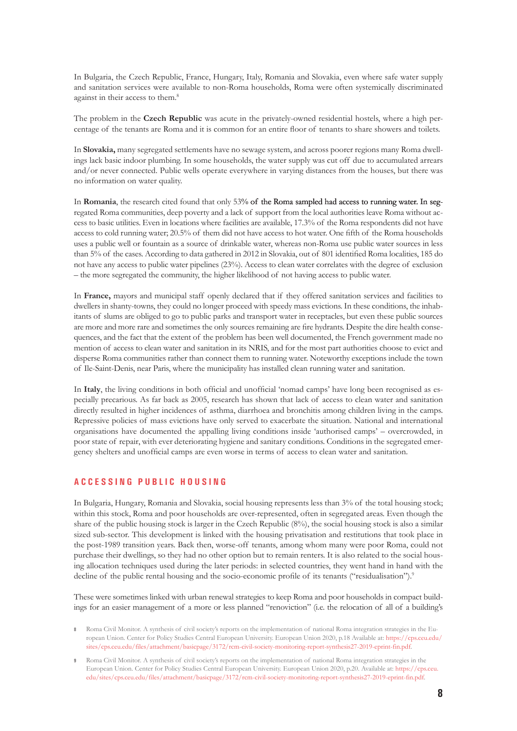In Bulgaria, the Czech Republic, France, Hungary, Italy, Romania and Slovakia, even where safe water supply and sanitation services were available to non-Roma households, Roma were often systemically discriminated against in their access to them.<sup>8</sup>

The problem in the **Czech Republic** was acute in the privately-owned residential hostels, where a high percentage of the tenants are Roma and it is common for an entire floor of tenants to share showers and toilets.

In **Slovakia,** many segregated settlements have no sewage system, and across poorer regions many Roma dwellings lack basic indoor plumbing. In some households, the water supply was cut off due to accumulated arrears and/or never connected. Public wells operate everywhere in varying distances from the houses, but there was no information on water quality.

In **Romania**, the research cited found that only 53% of the Roma sampled had access to running water. In segregated Roma communities, deep poverty and a lack of support from the local authorities leave Roma without access to basic utilities. Even in locations where facilities are available, 17.3% of the Roma respondents did not have access to cold running water; 20.5% of them did not have access to hot water. One fifth of the Roma households uses a public well or fountain as a source of drinkable water, whereas non-Roma use public water sources in less than 5% of the cases. According to data gathered in 2012 in Slovakia, out of 801 identified Roma localities, 185 do not have any access to public water pipelines (23%). Access to clean water correlates with the degree of exclusion – the more segregated the community, the higher likelihood of not having access to public water.

In **France,** mayors and municipal staff openly declared that if they offered sanitation services and facilities to dwellers in shanty-towns, they could no longer proceed with speedy mass evictions. In these conditions, the inhabitants of slums are obliged to go to public parks and transport water in receptacles, but even these public sources are more and more rare and sometimes the only sources remaining are fire hydrants. Despite the dire health consequences, and the fact that the extent of the problem has been well documented, the French government made no mention of access to clean water and sanitation in its NRIS, and for the most part authorities choose to evict and disperse Roma communities rather than connect them to running water. Noteworthy exceptions include the town of Ile-Saint-Denis, near Paris, where the municipality has installed clean running water and sanitation.

In **Italy**, the living conditions in both official and unofficial 'nomad camps' have long been recognised as especially precarious. As far back as 2005, research has shown that lack of access to clean water and sanitation directly resulted in higher incidences of asthma, diarrhoea and bronchitis among children living in the camps. Repressive policies of mass evictions have only served to exacerbate the situation. National and international organisations have documented the appalling living conditions inside 'authorised camps' – overcrowded, in poor state of repair, with ever deteriorating hygiene and sanitary conditions. Conditions in the segregated emergency shelters and unofficial camps are even worse in terms of access to clean water and sanitation.

# **A C C E S S I N G P U B L I C H O U S I N G**

In Bulgaria, Hungary, Romania and Slovakia, social housing represents less than 3% of the total housing stock; within this stock, Roma and poor households are over-represented, often in segregated areas. Even though the share of the public housing stock is larger in the Czech Republic (8%), the social housing stock is also a similar sized sub-sector. This development is linked with the housing privatisation and restitutions that took place in the post-1989 transition years. Back then, worse-off tenants, among whom many were poor Roma, could not purchase their dwellings, so they had no other option but to remain renters. It is also related to the social housing allocation techniques used during the later periods: in selected countries, they went hand in hand with the decline of the public rental housing and the socio-economic profile of its tenants ("residualisation").<sup>9</sup>

These were sometimes linked with urban renewal strategies to keep Roma and poor households in compact buildings for an easier management of a more or less planned "renoviction" (i.e. the relocation of all of a building's

**<sup>8</sup>** Roma Civil Monitor. A synthesis of civil society's reports on the implementation of national Roma integration strategies in the European Union. Center for Policy Studies Central European University. European Union 2020, p.18 Available at: [https://cps.ceu.edu/](https://cps.ceu.edu/sites/cps.ceu.edu/files/attachment/basicpage/3172/rcm-civil-society-monitoring-report-synthesis27-2019-eprint-fin.pdf) [sites/cps.ceu.edu/files/attachment/basicpage/3172/rcm-civil-society-monitoring-report-synthesis27-2019-eprint-fin.pdf.](https://cps.ceu.edu/sites/cps.ceu.edu/files/attachment/basicpage/3172/rcm-civil-society-monitoring-report-synthesis27-2019-eprint-fin.pdf)

**<sup>9</sup>** Roma Civil Monitor. A synthesis of civil society's reports on the implementation of national Roma integration strategies in the European Union. Center for Policy Studies Central European University. European Union 2020, p.20. Available at: [https://cps.ceu.](https://cps.ceu.edu/sites/cps.ceu.edu/files/attachment/basicpage/3172/rcm-civil-society-monitoring-report-synthesis27-2019-eprint-fin.pdf) [edu/sites/cps.ceu.edu/files/attachment/basicpage/3172/rcm-civil-society-monitoring-report-synthesis27-2019-eprint-fin.pdf](https://cps.ceu.edu/sites/cps.ceu.edu/files/attachment/basicpage/3172/rcm-civil-society-monitoring-report-synthesis27-2019-eprint-fin.pdf).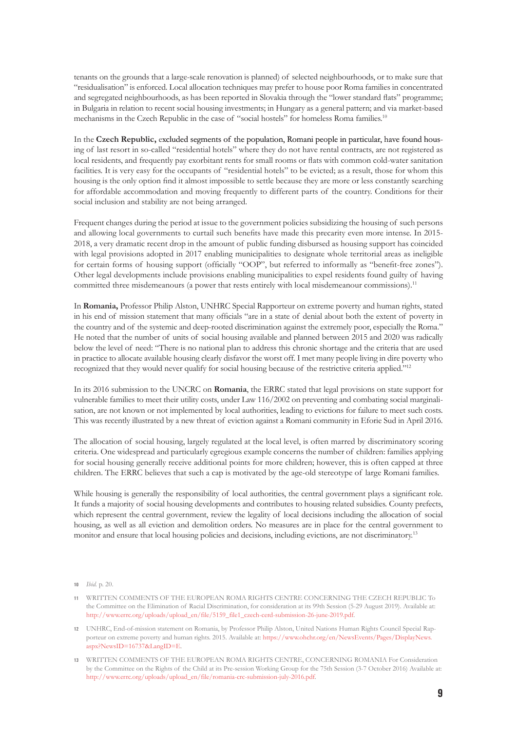tenants on the grounds that a large-scale renovation is planned) of selected neighbourhoods, or to make sure that "residualisation" is enforced. Local allocation techniques may prefer to house poor Roma families in concentrated and segregated neighbourhoods, as has been reported in Slovakia through the "lower standard flats" programme; in Bulgaria in relation to recent social housing investments; in Hungary as a general pattern; and via market-based mechanisms in the Czech Republic in the case of "social hostels" for homeless Roma families.<sup>10</sup>

In the **Czech Republic,** excluded segments of the population, Romani people in particular, have found housing of last resort in so-called "residential hotels" where they do not have rental contracts, are not registered as local residents, and frequently pay exorbitant rents for small rooms or flats with common cold-water sanitation facilities. It is very easy for the occupants of "residential hotels" to be evicted; as a result, those for whom this housing is the only option find it almost impossible to settle because they are more or less constantly searching for affordable accommodation and moving frequently to different parts of the country. Conditions for their social inclusion and stability are not being arranged.

Frequent changes during the period at issue to the government policies subsidizing the housing of such persons and allowing local governments to curtail such benefits have made this precarity even more intense. In 2015- 2018, a very dramatic recent drop in the amount of public funding disbursed as housing support has coincided with legal provisions adopted in 2017 enabling municipalities to designate whole territorial areas as ineligible for certain forms of housing support (officially "OOP", but referred to informally as "benefit-free zones"). Other legal developments include provisions enabling municipalities to expel residents found guilty of having committed three misdemeanours (a power that rests entirely with local misdemeanour commissions).<sup>11</sup>

In **Romania,** Professor Philip Alston, UNHRC Special Rapporteur on extreme poverty and human rights, stated in his end of mission statement that many officials "are in a state of denial about both the extent of poverty in the country and of the systemic and deep-rooted discrimination against the extremely poor, especially the Roma." He noted that the number of units of social housing available and planned between 2015 and 2020 was radically below the level of need: "There is no national plan to address this chronic shortage and the criteria that are used in practice to allocate available housing clearly disfavor the worst off. I met many people living in dire poverty who recognized that they would never qualify for social housing because of the restrictive criteria applied."12

In its 2016 submission to the UNCRC on **Romania**, the ERRC stated that legal provisions on state support for vulnerable families to meet their utility costs, under Law 116/2002 on preventing and combating social marginalisation, are not known or not implemented by local authorities, leading to evictions for failure to meet such costs. This was recently illustrated by a new threat of eviction against a Romani community in Eforie Sud in April 2016.

The allocation of social housing, largely regulated at the local level, is often marred by discriminatory scoring criteria. One widespread and particularly egregious example concerns the number of children: families applying for social housing generally receive additional points for more children; however, this is often capped at three children. The ERRC believes that such a cap is motivated by the age-old stereotype of large Romani families.

While housing is generally the responsibility of local authorities, the central government plays a significant role. It funds a majority of social housing developments and contributes to housing related subsidies. County prefects, which represent the central government, review the legality of local decisions including the allocation of social housing, as well as all eviction and demolition orders. No measures are in place for the central government to monitor and ensure that local housing policies and decisions, including evictions, are not discriminatory.<sup>13</sup>

**<sup>10</sup>** *Ibid.* p. 20.

**<sup>11</sup>** WRITTEN COMMENTS OF THE EUROPEAN ROMA RIGHTS CENTRE CONCERNING THE CZECH REPUBLIC To the Committee on the Elimination of Racial Discrimination, for consideration at its 99th Session (5-29 August 2019). Available at: [http://www.errc.org/uploads/upload\\_en/file/5159\\_file1\\_czech-cerd-submission-26-june-2019.pdf](http://www.errc.org/uploads/upload_en/file/5159_file1_czech-cerd-submission-26-june-2019.pdf).

**<sup>12</sup>** UNHRC, End-of-mission statement on Romania, by Professor Philip Alston, United Nations Human Rights Council Special Rapporteur on extreme poverty and human rights. 2015. Available at: [https://www.ohchr.org/en/NewsEvents/Pages/DisplayNews.](https://www.ohchr.org/en/NewsEvents/Pages/DisplayNews.aspx?NewsID=16737&LangID=E) [aspx?NewsID=16737&LangID=E.](https://www.ohchr.org/en/NewsEvents/Pages/DisplayNews.aspx?NewsID=16737&LangID=E)

**<sup>13</sup>** WRITTEN COMMENTS OF THE EUROPEAN ROMA RIGHTS CENTRE, CONCERNING ROMANIA For Consideration by the Committee on the Rights of the Child at its Pre-session Working Group for the 75th Session (3-7 October 2016) Available at: [http://www.errc.org/uploads/upload\\_en/file/romania-crc-submission-july-2016.pdf](http://www.errc.org/uploads/upload_en/file/romania-crc-submission-july-2016.pdf)*.*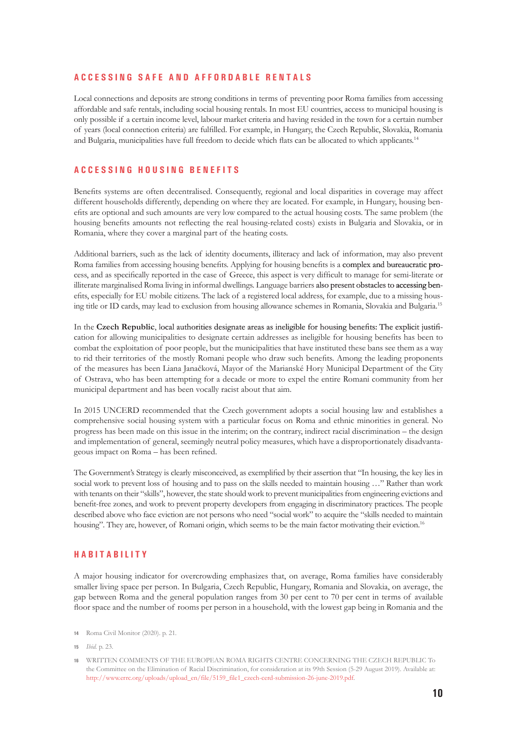#### **A C C E S S I N G S A F E A N D A F F O R D A B L E R E N T A L S**

Local connections and deposits are strong conditions in terms of preventing poor Roma families from accessing affordable and safe rentals, including social housing rentals. In most EU countries, access to municipal housing is only possible if a certain income level, labour market criteria and having resided in the town for a certain number of years (local connection criteria) are fulfilled. For example, in Hungary, the Czech Republic, Slovakia, Romania and Bulgaria, municipalities have full freedom to decide which flats can be allocated to which applicants.<sup>14</sup>

# **A C C E S S I N G H O U S I N G B E N E F I T S**

Benefits systems are often decentralised. Consequently, regional and local disparities in coverage may affect different households differently, depending on where they are located. For example, in Hungary, housing benefits are optional and such amounts are very low compared to the actual housing costs. The same problem (the housing benefits amounts not reflecting the real housing-related costs) exists in Bulgaria and Slovakia, or in Romania, where they cover a marginal part of the heating costs.

Additional barriers, such as the lack of identity documents, illiteracy and lack of information, may also prevent Roma families from accessing housing benefits. Applying for housing benefits is a complex and bureaucratic process, and as specifically reported in the case of Greece, this aspect is very difficult to manage for semi-literate or illiterate marginalised Roma living in informal dwellings. Language barriers also present obstacles to accessing benefits, especially for EU mobile citizens. The lack of a registered local address, for example, due to a missing housing title or ID cards, may lead to exclusion from housing allowance schemes in Romania, Slovakia and Bulgaria.15

In the **Czech Republic**, local authorities designate areas as ineligible for housing benefits: The explicit justification for allowing municipalities to designate certain addresses as ineligible for housing benefits has been to combat the exploitation of poor people, but the municipalities that have instituted these bans see them as a way to rid their territories of the mostly Romani people who draw such benefits. Among the leading proponents of the measures has been Liana Janačková, Mayor of the Marianské Hory Municipal Department of the City of Ostrava, who has been attempting for a decade or more to expel the entire Romani community from her municipal department and has been vocally racist about that aim.

In 2015 UNCERD recommended that the Czech government adopts a social housing law and establishes a comprehensive social housing system with a particular focus on Roma and ethnic minorities in general. No progress has been made on this issue in the interim; on the contrary, indirect racial discrimination – the design and implementation of general, seemingly neutral policy measures, which have a disproportionately disadvantageous impact on Roma – has been refined.

The Government's Strategy is clearly misconceived, as exemplified by their assertion that "In housing, the key lies in social work to prevent loss of housing and to pass on the skills needed to maintain housing …" Rather than work with tenants on their "skills", however, the state should work to prevent municipalities from engineering evictions and benefit-free zones, and work to prevent property developers from engaging in discriminatory practices. The people described above who face eviction are not persons who need "social work" to acquire the "skills needed to maintain housing". They are, however, of Romani origin, which seems to be the main factor motivating their eviction.<sup>16</sup>

# **H A B I T A B I L I T Y**

A major housing indicator for overcrowding emphasizes that, on average, Roma families have considerably smaller living space per person. In Bulgaria, Czech Republic, Hungary, Romania and Slovakia, on average, the gap between Roma and the general population ranges from 30 per cent to 70 per cent in terms of available floor space and the number of rooms per person in a household, with the lowest gap being in Romania and the

**15** *Ibid.* p. 23*.*

**<sup>14</sup>** Roma Civil Monitor (2020). p. 21*.*

**<sup>16</sup>** WRITTEN COMMENTS OF THE EUROPEAN ROMA RIGHTS CENTRE CONCERNING THE CZECH REPUBLIC To the Committee on the Elimination of Racial Discrimination, for consideration at its 99th Session (5-29 August 2019). Available at: [http://www.errc.org/uploads/upload\\_en/file/5159\\_file1\\_czech-cerd-submission-26-june-2019.pdf](http://www.errc.org/uploads/upload_en/file/5159_file1_czech-cerd-submission-26-june-2019.pdf)*.*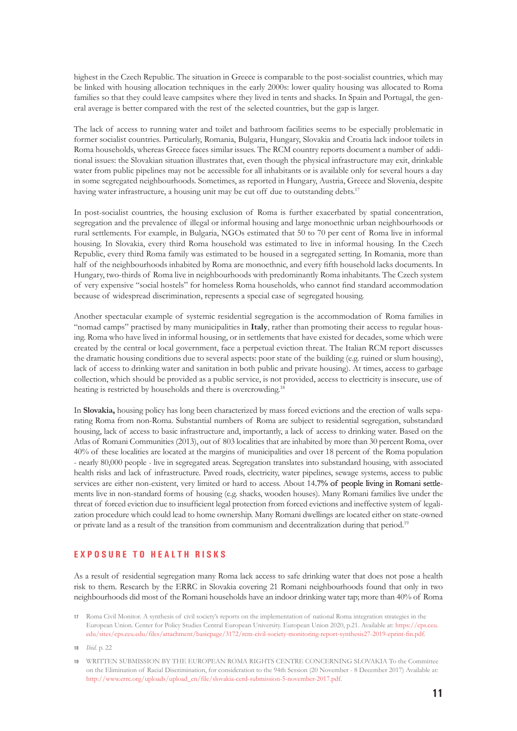highest in the Czech Republic. The situation in Greece is comparable to the post-socialist countries, which may be linked with housing allocation techniques in the early 2000s: lower quality housing was allocated to Roma families so that they could leave campsites where they lived in tents and shacks. In Spain and Portugal, the general average is better compared with the rest of the selected countries, but the gap is larger.

The lack of access to running water and toilet and bathroom facilities seems to be especially problematic in former socialist countries. Particularly, Romania, Bulgaria, Hungary, Slovakia and Croatia lack indoor toilets in Roma households, whereas Greece faces similar issues. The RCM country reports document a number of additional issues: the Slovakian situation illustrates that, even though the physical infrastructure may exit, drinkable water from public pipelines may not be accessible for all inhabitants or is available only for several hours a day in some segregated neighbourhoods. Sometimes, as reported in Hungary, Austria, Greece and Slovenia, despite having water infrastructure, a housing unit may be cut off due to outstanding debts.<sup>17</sup>

In post-socialist countries, the housing exclusion of Roma is further exacerbated by spatial concentration, segregation and the prevalence of illegal or informal housing and large monoethnic urban neighbourhoods or rural settlements. For example, in Bulgaria, NGOs estimated that 50 to 70 per cent of Roma live in informal housing. In Slovakia, every third Roma household was estimated to live in informal housing. In the Czech Republic, every third Roma family was estimated to be housed in a segregated setting. In Romania, more than half of the neighbourhoods inhabited by Roma are monoethnic, and every fifth household lacks documents. In Hungary, two-thirds of Roma live in neighbourhoods with predominantly Roma inhabitants. The Czech system of very expensive "social hostels" for homeless Roma households, who cannot find standard accommodation because of widespread discrimination, represents a special case of segregated housing.

Another spectacular example of systemic residential segregation is the accommodation of Roma families in "nomad camps" practised by many municipalities in **Italy**, rather than promoting their access to regular housing. Roma who have lived in informal housing, or in settlements that have existed for decades, some which were created by the central or local government, face a perpetual eviction threat. The Italian RCM report discusses the dramatic housing conditions due to several aspects: poor state of the building (e.g. ruined or slum housing), lack of access to drinking water and sanitation in both public and private housing). At times, access to garbage collection, which should be provided as a public service, is not provided, access to electricity is insecure, use of heating is restricted by households and there is overcrowding.<sup>18</sup>

In **Slovakia,** housing policy has long been characterized by mass forced evictions and the erection of walls separating Roma from non-Roma. Substantial numbers of Roma are subject to residential segregation, substandard housing, lack of access to basic infrastructure and, importantly, a lack of access to drinking water. Based on the Atlas of Romani Communities (2013), out of 803 localities that are inhabited by more than 30 percent Roma, over 40% of these localities are located at the margins of municipalities and over 18 percent of the Roma population - nearly 80,000 people - live in segregated areas. Segregation translates into substandard housing, with associated health risks and lack of infrastructure. Paved roads, electricity, water pipelines, sewage systems, access to public services are either non-existent, very limited or hard to access. About 14.7% of people living in Romani settlements live in non-standard forms of housing (e.g. shacks, wooden houses). Many Romani families live under the threat of forced eviction due to insufficient legal protection from forced evictions and ineffective system of legalization procedure which could lead to home ownership. Many Romani dwellings are located either on state-owned or private land as a result of the transition from communism and decentralization during that period.19

# **E X P O S U R E T O H E A L T H R I S K S**

As a result of residential segregation many Roma lack access to safe drinking water that does not pose a health risk to them. Research by the ERRC in Slovakia covering 21 Romani neighbourhoods found that only in two neighbourhoods did most of the Romani households have an indoor drinking water tap; more than 40% of Roma

**<sup>17</sup>** Roma Civil Monitor. A synthesis of civil society's reports on the implementation of national Roma integration strategies in the European Union. Center for Policy Studies Central European University. European Union 2020, p.21. Available at: [https://cps.ceu.](https://cps.ceu.edu/sites/cps.ceu.edu/files/attachment/basicpage/3172/rcm-civil-society-monitoring-report-synthesis27-2019-eprint-fin.pdf) [edu/sites/cps.ceu.edu/files/attachment/basicpage/3172/rcm-civil-society-monitoring-report-synthesis27-2019-eprint-fin.pdf](https://cps.ceu.edu/sites/cps.ceu.edu/files/attachment/basicpage/3172/rcm-civil-society-monitoring-report-synthesis27-2019-eprint-fin.pdf)*.*

**<sup>18</sup>** *Ibid.* p. 22

**<sup>19</sup>** WRITTEN SUBMISSION BY THE EUROPEAN ROMA RIGHTS CENTRE CONCERNING SLOVAKIA To the Committee on the Elimination of Racial Discrimination, for consideration to the 94th Session (20 November - 8 December 2017) Available at: [http://www.errc.org/uploads/upload\\_en/file/slovakia-cerd-submission-5-november-2017.pdf](http://www.errc.org/uploads/upload_en/file/slovakia-cerd-submission-5-november-2017.pdf)*.*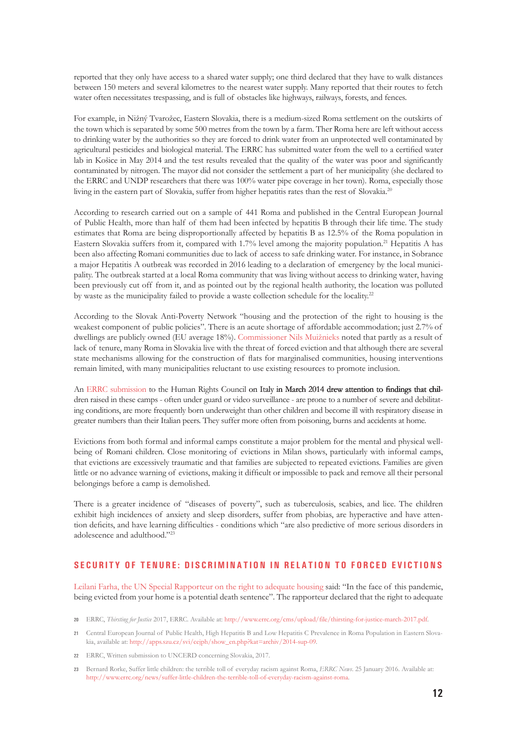reported that they only have access to a shared water supply; one third declared that they have to walk distances between 150 meters and several kilometres to the nearest water supply. Many reported that their routes to fetch water often necessitates trespassing, and is full of obstacles like highways, railways, forests, and fences.

For example, in Nižný Tvarožec, Eastern Slovakia, there is a medium-sized Roma settlement on the outskirts of the town which is separated by some 500 metres from the town by a farm. Ther Roma here are left without access to drinking water by the authorities so they are forced to drink water from an unprotected well contaminated by agricultural pesticides and biological material. The ERRC has submitted water from the well to a certified water lab in Košice in May 2014 and the test results revealed that the quality of the water was poor and significantly contaminated by nitrogen. The mayor did not consider the settlement a part of her municipality (she declared to the ERRC and UNDP researchers that there was 100% water pipe coverage in her town). Roma, especially those living in the eastern part of Slovakia, suffer from higher hepatitis rates than the rest of Slovakia.20

According to research carried out on a sample of 441 Roma and published in the Central European Journal of Public Health, more than half of them had been infected by hepatitis B through their life time. The study estimates that Roma are being disproportionally affected by hepatitis B as 12.5% of the Roma population in Eastern Slovakia suffers from it, compared with 1.7% level among the majority population.21 Hepatitis A has been also affecting Romani communities due to lack of access to safe drinking water. For instance, in Sobrance a major Hepatitis A outbreak was recorded in 2016 leading to a declaration of emergency by the local municipality. The outbreak started at a local Roma community that was living without access to drinking water, having been previously cut off from it, and as pointed out by the regional health authority, the location was polluted by waste as the municipality failed to provide a waste collection schedule for the locality.<sup>22</sup>

According to the Slovak Anti-Poverty Network "housing and the protection of the right to housing is the weakest component of public policies". There is an acute shortage of affordable accommodation; just 2.7% of dwellings are publicly owned (EU average 18%). [Commissioner Nils Muižnieks](http://www.errc.org/uploads/upload_en/file/slovakia-cerd-submission-5-november-2017.pdf) noted that partly as a result of lack of tenure, many Roma in Slovakia live with the threat of forced eviction and that although there are several state mechanisms allowing for the construction of flats for marginalised communities, housing interventions remain limited, with many municipalities reluctant to use existing resources to promote inclusion.

An [ERRC submission](http://www.errc.org/uploads/upload_en/file/italy-un-upr-submission-20-march-2014.pdf) to the Human Rights Council on Italy in March 2014 drew attention to findings that children raised in these camps - often under guard or video surveillance - are prone to a number of severe and debilitating conditions, are more frequently born underweight than other children and become ill with respiratory disease in greater numbers than their Italian peers. They suffer more often from poisoning, burns and accidents at home.

Evictions from both formal and informal camps constitute a major problem for the mental and physical wellbeing of Romani children. Close monitoring of evictions in Milan shows, particularly with informal camps, that evictions are excessively traumatic and that families are subjected to repeated evictions. Families are given little or no advance warning of evictions, making it difficult or impossible to pack and remove all their personal belongings before a camp is demolished.

There is a greater incidence of "diseases of poverty", such as tuberculosis, scabies, and lice. The children exhibit high incidences of anxiety and sleep disorders, suffer from phobias, are hyperactive and have attention deficits, and have learning difficulties - conditions which "are also predictive of more serious disorders in adolescence and adulthood."23

#### **SECURITY OF TENURE: DISCRIMINATION IN RELATION TO FORCED EVICTIONS**

[Leilani Farha, the UN Special Rapporteur on the right to adequate housing](https://www.ohchr.org/Documents/Issues/Housing/SR_housing_COVID-19_guidance_evictions.pdf) said: "In the face of this pandemic, being evicted from your home is a potential death sentence". The rapporteur declared that the right to adequate

**<sup>20</sup>** ERRC, *Thirsting for Justice* 2017, ERRC. Available at: <http://www.errc.org/cms/upload/file/thirsting-for-justice-march-2017.pdf>*.*

**<sup>21</sup>** Central European Journal of Public Health, High Hepatitis B and Low Hepatitis C Prevalence in Roma Population in Eastern Slovakia, available at: [http://apps.szu.cz/svi/cejph/show\\_en.php?kat=archiv/2014-sup-09](http://apps.szu.cz/svi/cejph/show_en.php?kat=archiv/2014-sup-09)*.*

**<sup>22</sup>** ERRC, Written submission to UNCERD concerning Slovakia, 2017.

**<sup>23</sup>** Bernard Rorke, Suffer little children: the terrible toll of everyday racism against Roma, *ERRC News*. 25 January 2016. Available at: <http://www.errc.org/news/suffer-little-children-the-terrible-toll-of-everyday-racism-against-roma>*.*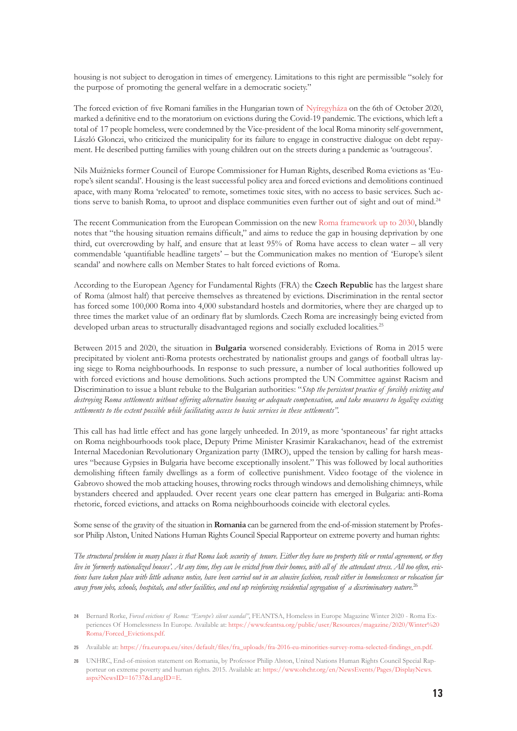housing is not subject to derogation in times of emergency. Limitations to this right are permissible "solely for the purpose of promoting the general welfare in a democratic society."

The forced eviction of five Romani families in the Hungarian town of [Nyíregyháza](http://www.errc.org/news/hungary-forced-evictions-of-roma-mark-the-end-of-the-covid-19-moratorium) on the 6th of October 2020, marked a definitive end to the moratorium on evictions during the Covid-19 pandemic. The evictions, which left a total of 17 people homeless, were condemned by the Vice-president of the local Roma minority self-government, László Glonczi, who criticized the municipality for its failure to engage in constructive dialogue on debt repayment. He described putting families with young children out on the streets during a pandemic as 'outrageous'.

Nils Muižnieks former Council of Europe Commissioner for Human Rights, described Roma evictions as 'Europe's silent scandal'. Housing is the least successful policy area and forced evictions and demolitions continued apace, with many Roma 'relocated' to remote, sometimes toxic sites, with no access to basic services. Such actions serve to banish Roma, to uproot and displace communities even further out of sight and out of mind.<sup>24</sup>

The recent Communication from the European Commission on the new [Roma framework up to 2030,](https://ec.europa.eu/commission/presscorner/detail/en/IP_20_1813) blandly notes that "the housing situation remains difficult," and aims to reduce the gap in housing deprivation by one third, cut overcrowding by half, and ensure that at least 95% of Roma have access to clean water – all very commendable 'quantifiable headline targets' – but the Communication makes no mention of 'Europe's silent scandal' and nowhere calls on Member States to halt forced evictions of Roma.

According to the European Agency for Fundamental Rights (FRA) the **Czech Republic** has the largest share of Roma (almost half) that perceive themselves as threatened by evictions. Discrimination in the rental sector has forced some 100,000 Roma into 4,000 substandard hostels and dormitories, where they are charged up to three times the market value of an ordinary flat by slumlords. Czech Roma are increasingly being evicted from developed urban areas to structurally disadvantaged regions and socially excluded localities.<sup>25</sup>

Between 2015 and 2020, the situation in **Bulgaria** worsened considerably. Evictions of Roma in 2015 were precipitated by violent anti-Roma protests orchestrated by nationalist groups and gangs of football ultras laying siege to Roma neighbourhoods. In response to such pressure, a number of local authorities followed up with forced evictions and house demolitions. Such actions prompted the UN Committee against Racism and Discrimination to issue a blunt rebuke to the Bulgarian authorities: "*Stop the persistent practice of forcibly evicting and destroying Roma settlements without offering alternative housing or adequate compensation, and take measures to legalize existing settlements to the extent possible while facilitating access to basic services in these settlements".*

This call has had little effect and has gone largely unheeded. In 2019, as more 'spontaneous' far right attacks on Roma neighbourhoods took place, Deputy Prime Minister Krasimir Karakachanov, head of the extremist Internal Macedonian Revolutionary Organization party (IMRO), upped the tension by calling for harsh measures "because Gypsies in Bulgaria have become exceptionally insolent." This was followed by local authorities demolishing fifteen family dwellings as a form of collective punishment. Video footage of the violence in Gabrovo showed the mob attacking houses, throwing rocks through windows and demolishing chimneys, while bystanders cheered and applauded. Over recent years one clear pattern has emerged in Bulgaria: anti-Roma rhetoric, forced evictions, and attacks on Roma neighbourhoods coincide with electoral cycles.

Some sense of the gravity of the situation in **Romania** can be garnered from the end-of-mission statement by Professor Philip Alston, United Nations Human Rights Council Special Rapporteur on extreme poverty and human rights:

*The structural problem in many places is that Roma lack security of tenure. Either they have no property title or rental agreement, or they live in 'formerly nationalized houses'. At any time, they can be evicted from their homes, with all of the attendant stress. All too often, evictions have taken place with little advance notice, have been carried out in an abusive fashion, result either in homelessness or relocation far away from jobs, schools, hospitals, and other facilities, and end up reinforcing residential segregation of a discriminatory nature.*<sup>26</sup>

**25** Available at: [https://fra.europa.eu/sites/default/files/fra\\_uploads/fra-2016-eu-minorities-survey-roma-selected-findings\\_en.pdf](https://fra.europa.eu/sites/default/files/fra_uploads/fra-2016-eu-minorities-survey-roma-selected-findings_en.pdf)*.*

**<sup>24</sup>** Bernard Rorke, *Forced evictions of Roma: "Europe's silent scandal"*, FEANTSA, Homeless in Europe Magazine Winter 2020 - Roma Experiences Of Homelessness In Europe. Available at: [https://www.feantsa.org/public/user/Resources/magazine/2020/Winter%20](https://www.feantsa.org/public/user/Resources/magazine/2020/Winter Roma/Forced_Evictions.pdf) [Roma/Forced\\_Evictions.pdf](https://www.feantsa.org/public/user/Resources/magazine/2020/Winter Roma/Forced_Evictions.pdf)*.*

**<sup>26</sup>** UNHRC, End-of-mission statement on Romania, by Professor Philip Alston, United Nations Human Rights Council Special Rapporteur on extreme poverty and human rights. 2015. Available at: [https://www.ohchr.org/en/NewsEvents/Pages/DisplayNews.](https://www.ohchr.org/en/NewsEvents/Pages/DisplayNews.aspx?NewsID=16737&LangID=E) [aspx?NewsID=16737&LangID=E](https://www.ohchr.org/en/NewsEvents/Pages/DisplayNews.aspx?NewsID=16737&LangID=E)*.*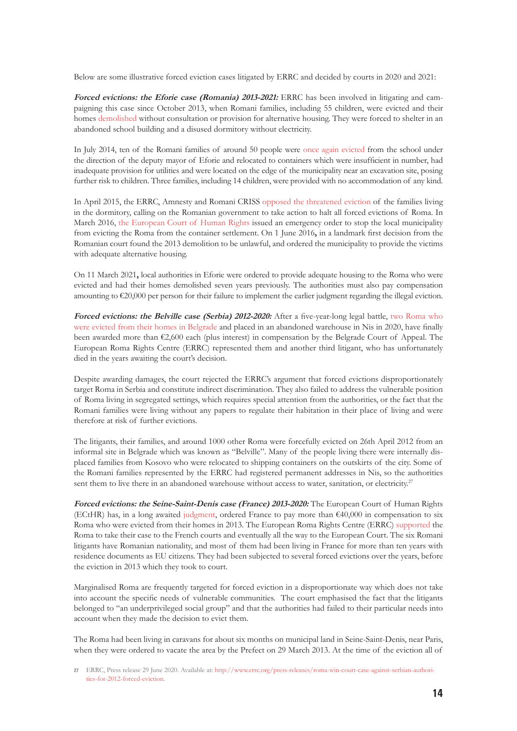Below are some illustrative forced eviction cases litigated by ERRC and decided by courts in 2020 and 2021:

**Forced evictions: the Eforie case (Romania) 2013-2021:** ERRC has been involved in litigating and campaigning this case since October 2013, when Romani families, including 55 children, were evicted and their homes [demolished](http://www.errc.org/article/romania-eviction-leaves-100-people-homeless-in-dangerous-conditions-%E2%80%93-authorities-must-act-urgently/4204) without consultation or provision for alternative housing. They were forced to shelter in an abandoned school building and a disused dormitory without electricity.

In July 2014, ten of the Romani families of around 50 people were [once again evicted](http://www.errc.org/article/romanian-roma-victimised-by-new-evictions/4303) from the school under the direction of the deputy mayor of Eforie and relocated to containers which were insufficient in number, had inadequate provision for utilities and were located on the edge of the municipality near an excavation site, posing further risk to children. Three families, including 14 children, were provided with no accommodation of any kind.

In April 2015, the ERRC, Amnesty and Romani CRISS [opposed the threatened eviction](http://www.errc.org/article/romania-eforie-municipality-threatens-to-evict-roma-families-third-time-in-two-years/4360) of the families living in the dormitory, calling on the Romanian government to take action to halt all forced evictions of Roma. In March 2016, [the European Court of Human Rights](http://www.errc.org/article/in-second-emergency-order-in-a-week-european-court-temporarily-halts-eviction-of-roma/4469) issued an emergency order to stop the local municipality from evicting the Roma from the container settlement. On 1 June 2016**,** in a landmark first decision from the Romanian court found the 2013 demolition to be unlawful, and ordered the municipality to provide the victims with adequate alternative housing.

On 11 March 2021**,** local authorities in Eforie were ordered to provide adequate housing to the Roma who were evicted and had their homes demolished seven years previously. The authorities must also pay compensation amounting to €20,000 per person for their failure to implement the earlier judgment regarding the illegal eviction.

**Forced evictions: the Belville case (Serbia) 2012-2020:** After a five-year-long legal battle, [two Roma who](http://www.errc.org/press-releases/rights-groups-slam-disastrous-housing-conditions-for-roma-forcibly-evicted-from-belvil) [were evicted from their homes in Belgrade](http://www.errc.org/press-releases/rights-groups-slam-disastrous-housing-conditions-for-roma-forcibly-evicted-from-belvil) and placed in an abandoned warehouse in Nis in 2020, have finally been awarded more than €2,600 each (plus interest) in compensation by the Belgrade Court of Appeal. The European Roma Rights Centre (ERRC) represented them and another third litigant, who has unfortunately died in the years awaiting the court's decision.

Despite awarding damages, the court rejected the ERRC's argument that forced evictions disproportionately target Roma in Serbia and constitute indirect discrimination. They also failed to address the vulnerable position of Roma living in segregated settings, which requires special attention from the authorities, or the fact that the Romani families were living without any papers to regulate their habitation in their place of living and were therefore at risk of further evictions.

The litigants, their families, and around 1000 other Roma were forcefully evicted on 26th April 2012 from an informal site in Belgrade which was known as "Belville". Many of the people living there were internally displaced families from Kosovo who were relocated to shipping containers on the outskirts of the city. Some of the Romani families represented by the ERRC had registered permanent addresses in Nis, so the authorities sent them to live there in an abandoned warehouse without access to water, sanitation, or electricity.<sup>27</sup>

**Forced evictions: the Seine-Saint-Denis case (France) 2013-2020:** The European Court of Human Rights (ECtHR) has, in a long awaited [judgment,](https://hudoc.echr.coe.int/eng-press#{%22itemid%22:[%22003-6695391-8910023%22]}) ordered France to pay more than €40,000 in compensation to six Roma who were evicted from their homes in 2013. The European Roma Rights Centre (ERRC) [supported](http://www.errc.org/cikk.php?cikk=4345) the Roma to take their case to the French courts and eventually all the way to the European Court. The six Romani litigants have Romanian nationality, and most of them had been living in France for more than ten years with residence documents as EU citizens. They had been subjected to several forced evictions over the years, before the eviction in 2013 which they took to court.

Marginalised Roma are frequently targeted for forced eviction in a disproportionate way which does not take into account the specific needs of vulnerable communities. The court emphasised the fact that the litigants belonged to "an underprivileged social group" and that the authorities had failed to their particular needs into account when they made the decision to evict them.

The Roma had been living in caravans for about six months on municipal land in Seine-Saint-Denis, near Paris, when they were ordered to vacate the area by the Prefect on 29 March 2013. At the time of the eviction all of

**<sup>27</sup>** ERRC, Press release 29 June 2020. Available at: [http://www.errc.org/press-releases/roma-win-court-case-against-serbian-authori](http://www.errc.org/press-releases/roma-win-court-case-against-serbian-authorities-for-2012-forced-eviction)[ties-for-2012-forced-eviction](http://www.errc.org/press-releases/roma-win-court-case-against-serbian-authorities-for-2012-forced-eviction)*.*